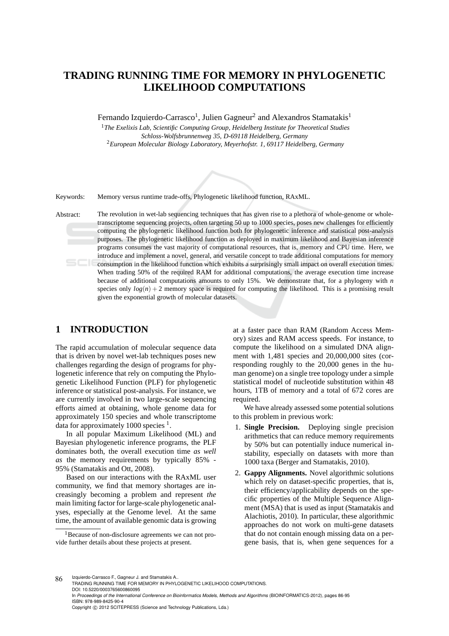# **TRADING RUNNING TIME FOR MEMORY IN PHYLOGENETIC LIKELIHOOD COMPUTATIONS**

Fernando Izquierdo-Carrasco<sup>1</sup>, Julien Gagneur<sup>2</sup> and Alexandros Stamatakis<sup>1</sup>

<sup>1</sup>*The Exelixis Lab, Scientific Computing Group, Heidelberg Institute for Theoretical Studies Schloss-Wolfsbrunnenweg 35, D-69118 Heidelberg, Germany* <sup>2</sup>*European Molecular Biology Laboratory, Meyerhofstr. 1, 69117 Heidelberg, Germany*



Keywords: Memory versus runtime trade-offs, Phylogenetic likelihood function, RAxML.

Abstract: The revolution in wet-lab sequencing techniques that has given rise to a plethora of whole-genome or wholetranscriptome sequencing projects, often targeting 50 up to 1000 species, poses new challenges for efficiently computing the phylogenetic likelihood function both for phylogenetic inference and statistical post-analysis purposes. The phylogenetic likelihood function as deployed in maximum likelihood and Bayesian inference programs consumes the vast majority of computational resources, that is, memory and CPU time. Here, we introduce and implement a novel, general, and versatile concept to trade additional computations for memory consumption in the likelihood function which exhibits a surprisingly small impact on overall execution times. When trading 50% of the required RAM for additional computations, the average execution time increase because of additional computations amounts to only 15%. We demonstrate that, for a phylogeny with *n* species only  $log(n) + 2$  memory space is required for computing the likelihood. This is a promising result given the exponential growth of molecular datasets.

# **1 INTRODUCTION**

The rapid accumulation of molecular sequence data that is driven by novel wet-lab techniques poses new challenges regarding the design of programs for phylogenetic inference that rely on computing the Phylogenetic Likelihood Function (PLF) for phylogenetic inference or statistical post-analysis. For instance, we are currently involved in two large-scale sequencing efforts aimed at obtaining, whole genome data for approximately 150 species and whole transcriptome data for approximately 1000 species  $<sup>1</sup>$ .</sup>

In all popular Maximum Likelihood (ML) and Bayesian phylogenetic inference programs, the PLF dominates both, the overall execution time *as well as* the memory requirements by typically 85% - 95% (Stamatakis and Ott, 2008).

Based on our interactions with the RAxML user community, we find that memory shortages are increasingly becoming a problem and represent *the* main limiting factor for large-scale phylogenetic analyses, especially at the Genome level. At the same time, the amount of available genomic data is growing

at a faster pace than RAM (Random Access Memory) sizes and RAM access speeds. For instance, to compute the likelihood on a simulated DNA alignment with 1,481 species and 20,000,000 sites (corresponding roughly to the 20,000 genes in the human genome) on a single tree topology under a simple statistical model of nucleotide substitution within 48 hours, 1TB of memory and a total of 672 cores are required.

We have already assessed some potential solutions to this problem in previous work:

- 1. **Single Precision.** Deploying single precision arithmetics that can reduce memory requirements by 50% but can potentially induce numerical instability, especially on datasets with more than 1000 taxa (Berger and Stamatakis, 2010).
- 2. **Gappy Alignments.** Novel algorithmic solutions which rely on dataset-specific properties, that is, their efficiency/applicability depends on the specific properties of the Multiple Sequence Alignment (MSA) that is used as input (Stamatakis and Alachiotis, 2010). In particular, these algorithmic approaches do not work on multi-gene datasets that do not contain enough missing data on a pergene basis, that is, when gene sequences for a

86 Izquierdo-Carrasco F., Gagneur J. and Stamatakis A.. TRADING RUNNING TIME FOR MEMORY IN PHYLOGENETIC LIKELIHOOD COMPUTATIONS. DOI: 10.5220/0003765600860095 In *Proceedings of the International Conference on Bioinformatics Models, Methods and Algorithms* (BIOINFORMATICS-2012), pages 86-95 ISBN: 978-989-8425-90-4 Copyright © 2012 SCITEPRESS (Science and Technology Publications, Lda.)

<sup>&</sup>lt;sup>1</sup>Because of non-disclosure agreements we can not provide further details about these projects at present.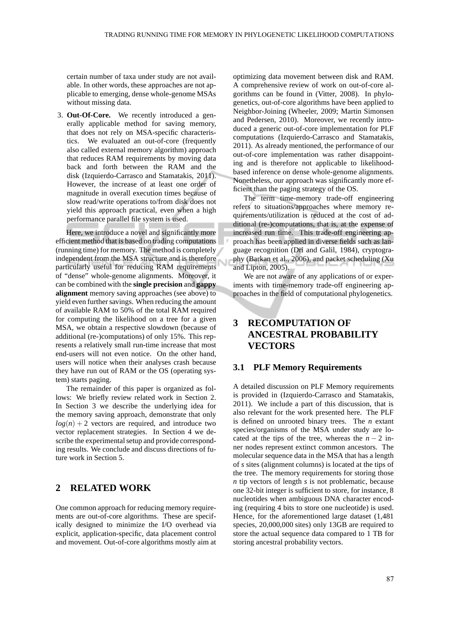certain number of taxa under study are not available. In other words, these approaches are not applicable to emerging, dense whole-genome MSAs without missing data.

3. **Out-Of-Core.** We recently introduced a generally applicable method for saving memory, that does not rely on MSA-specific characteristics. We evaluated an out-of-core (frequently also called external memory algorithm) approach that reduces RAM requirements by moving data back and forth between the RAM and the disk (Izquierdo-Carrasco and Stamatakis, 2011). However, the increase of at least one order of magnitude in overall execution times because of slow read/write operations to/from disk does not yield this approach practical, even when a high performance parallel file system is used.

Here, we introduce a novel and significantly more efficient method that is based on trading computations (running time) for memory. The method is completely independent from the MSA structure and is therefore particularly useful for reducing RAM requirements of "dense" whole-genome alignments. Moreover, it can be combined with the **single precision** and **gappy alignment** memory saving approaches (see above) to yield even further savings. When reducing the amount of available RAM to 50% of the total RAM required for computing the likelihood on a tree for a given MSA, we obtain a respective slowdown (because of additional (re-)computations) of only 15%. This represents a relatively small run-time increase that most end-users will not even notice. On the other hand, users will notice when their analyses crash because they have run out of RAM or the OS (operating system) starts paging.

The remainder of this paper is organized as follows: We briefly review related work in Section 2. In Section 3 we describe the underlying idea for the memory saving approach, demonstrate that only  $log(n) + 2$  vectors are required, and introduce two vector replacement strategies. In Section 4 we describe the experimental setup and provide corresponding results. We conclude and discuss directions of future work in Section 5.

## **2 RELATED WORK**

One common approach for reducing memory requirements are out-of-core algorithms. These are specifically designed to minimize the I/O overhead via explicit, application-specific, data placement control and movement. Out-of-core algorithms mostly aim at optimizing data movement between disk and RAM. A comprehensive review of work on out-of-core algorithms can be found in (Vitter, 2008). In phylogenetics, out-of-core algorithms have been applied to Neighbor-Joining (Wheeler, 2009; Martin Simonsen and Pedersen, 2010). Moreover, we recently introduced a generic out-of-core implementation for PLF computations (Izquierdo-Carrasco and Stamatakis, 2011). As already mentioned, the performance of our out-of-core implementation was rather disappointing and is therefore not applicable to likelihoodbased inference on dense whole-genome alignments. Nonetheless, our approach was significantly more efficient than the paging strategy of the OS.

The term time-memory trade-off engineering refers to situations/approaches where memory requirements/utilization is reduced at the cost of additional (re-)computations, that is, at the expense of increased run time. This trade-off engineering approach has been applied in diverse fields such as language recognition (Dri and Galil, 1984), cryptography (Barkan et al., 2006), and packet scheduling (Xu and Lipton, 2005).

We are not aware of any applications of or experiments with time-memory trade-off engineering approaches in the field of computational phylogenetics.

# **3 RECOMPUTATION OF ANCESTRAL PROBABILITY VECTORS**

### **3.1 PLF Memory Requirements**

A detailed discussion on PLF Memory requirements is provided in (Izquierdo-Carrasco and Stamatakis, 2011). We include a part of this discussion, that is also relevant for the work presented here. The PLF is defined on unrooted binary trees. The *n* extant species/organisms of the MSA under study are located at the tips of the tree, whereas the  $n - 2$  inner nodes represent extinct common ancestors. The molecular sequence data in the MSA that has a length of *s* sites (alignment columns) is located at the tips of the tree. The memory requirements for storing those *n* tip vectors of length *s* is not problematic, because one 32-bit integer is sufficient to store, for instance, 8 nucleotides when ambiguous DNA character encoding (requiring 4 bits to store one nucleotide) is used. Hence, for the aforementioned large dataset (1,481 species, 20,000,000 sites) only 13GB are required to store the actual sequence data compared to 1 TB for storing ancestral probability vectors.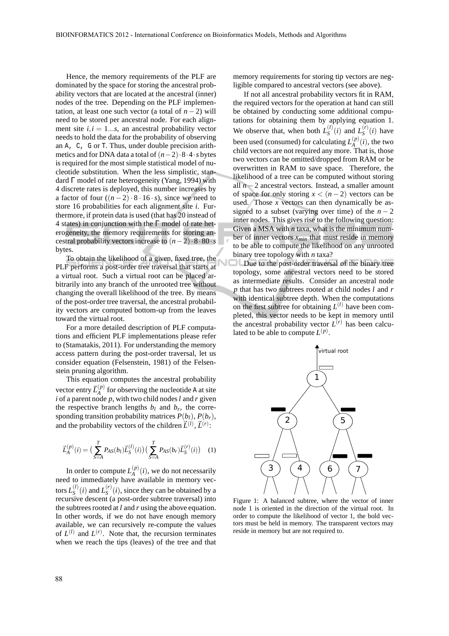Hence, the memory requirements of the PLF are dominated by the space for storing the ancestral probability vectors that are located at the ancestral (inner) nodes of the tree. Depending on the PLF implementation, at least one such vector (a total of  $n - 2$ ) will need to be stored per ancestral node. For each alignment site  $i, i = 1...s$ , an ancestral probability vector needs to hold the data for the probability of observing an A, C, G or T. Thus, under double precision arithmetics and for DNA data a total of(*n*−2)·8·4·*s* bytes is required for the most simple statistical model of nucleotide substitution. When the less simplistic, standard Γ model of rate heterogeneity (Yang, 1994) with 4 discrete rates is deployed, this number increases by a factor of four  $((n-2) \cdot 8 \cdot 16 \cdot s)$ , since we need to store 16 probabilities for each alignment site *i*. Furthermore, if protein data is used (that has 20 instead of 4 states) in conjunction with the  $\Gamma$  model of rate heterogeneity, the memory requirements for storing ancestral probability vectors increase to  $(n-2) \cdot 8 \cdot 80 \cdot s$ bytes.

To obtain the likelihood of a given, fixed tree, the PLF performs a post-order tree traversal that starts at a virtual root. Such a virtual root can be placed arbitrarily into any branch of the unrooted tree without changing the overall likelihood of the tree. By means of the post-order tree traversal, the ancestral probability vectors are computed bottom-up from the leaves toward the virtual root.

For a more detailed description of PLF computations and efficient PLF implementations please refer to (Stamatakis, 2011). For understanding the memory access pattern during the post-order traversal, let us consider equation (Felsenstein, 1981) of the Felsenstein pruning algorithm.

This equation computes the ancestral probability vector entry  $\vec{L}^{(p)}_A$  $A$ <sup>(*P*)</sup> for observing the nucleotide A at site *i* of a parent node *p*, with two child nodes*l* and *r* given the respective branch lengths  $b_l$  and  $b_r$ , the corresponding transition probability matrices  $P(b_l)$ ,  $P(b_r)$ , and the probability vectors of the children  $\vec{L}^{(l)}$ ,  $\vec{L}^{(r)}$ :

$$
\vec{L}_{A}^{(p)}(i) = \left(\sum_{S=A}^{T} P_{AS}(b_{I}) \vec{L}_{S}^{(l)}(i)\right) \left(\sum_{S=A}^{T} P_{AS}(b_{r}) \vec{L}_{S}^{(r)}(i)\right) \quad (1)
$$

In order to compute  $L_A^{(p)}$  $A^{(p)}(i)$ , we do not necessarily need to immediately have available in memory vectors  $L_S^{(l)}$  $L_S^{(l)}(i)$  and  $L_S^{(r)}$  $S^{(r)}(i)$ , since they can be obtained by a recursive descent (a post-order subtree traversal) into the subtrees rooted at *l* and *r* using the above equation. In other words, if we do not have enough memory available, we can recursively re-compute the values of  $L^{(l)}$  and  $L^{(r)}$ . Note that, the recursion terminates when we reach the tips (leaves) of the tree and that memory requirements for storing tip vectors are negligible compared to ancestral vectors (see above).

If not all ancestral probability vectors fit in RAM, the required vectors for the operation at hand can still be obtained by conducting some additional computations for obtaining them by applying equation 1. We observe that, when both  $L_S^{(l)}$  $L_S^{(l)}(i)$  and  $L_S^{(r)}$  $S^{(r)}(i)$  have been used (consumed) for calculating  $L_{\rm A}^{(p)}$  $A^{(p)}(i)$ , the two child vectors are not required any more. That is, those two vectors can be omitted/dropped from RAM or be overwritten in RAM to save space. Therefore, the likelihood of a tree can be computed without storing all *n*−2 ancestral vectors. Instead, a smaller amount of space for only storing  $x < (n-2)$  vectors can be used. Those *x* vectors can then dynamically be assigned to a subset (varying over time) of the  $n-2$ inner nodes. This gives rise to the following question: Given a MSA with *n* taxa, what is the minimum number of inner vectors *xmin* that must reside in memory to be able to compute the likelihood on any unrooted binary tree topology with *n* taxa?

Due to the post-order traversal of the binary tree topology, some ancestral vectors need to be stored as intermediate results. Consider an ancestral node *p* that has two subtrees rooted at child nodes *l* and *r* with identical subtree depth. When the computations on the first subtree for obtaining  $L^{(l)}$  have been completed, this vector needs to be kept in memory until the ancestral probability vector  $L^{(r)}$  has been calculated to be able to compute  $L^{(p)}$ .



Figure 1: A balanced subtree, where the vector of inner node 1 is oriented in the direction of the virtual root. In order to compute the likelihood of vector 1, the bold vectors must be held in memory. The transparent vectors may reside in memory but are not required to.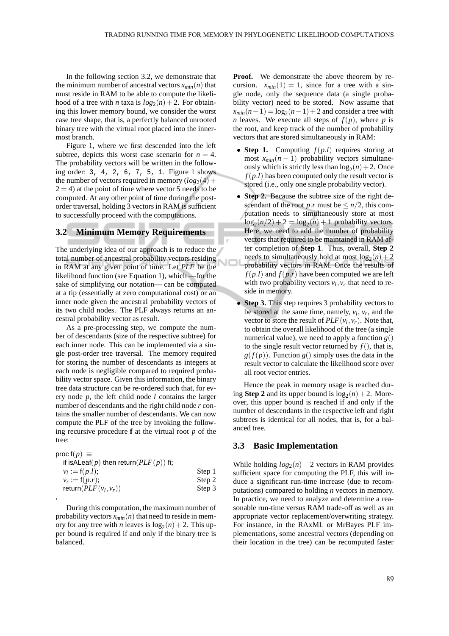In the following section 3.2, we demonstrate that the minimum number of ancestral vectors  $x_{min}(n)$  that must reside in RAM to be able to compute the likelihood of a tree with *n* taxa is  $log_2(n) + 2$ . For obtaining this lower memory bound, we consider the worst case tree shape, that is, a perfectly balanced unrooted binary tree with the virtual root placed into the innermost branch.

Figure 1, where we first descended into the left subtree, depicts this worst case scenario for  $n = 4$ . The probability vectors will be written in the following order: 3, 4, 2, 6, 7, 5, 1. Figure 1 shows the number of vectors required in memory  $(log_2(4)$  +  $2 = 4$ ) at the point of time where vector 5 needs to be computed. At any other point of time during the postorder traversal, holding 3 vectors in RAM is sufficient to successfully proceed with the computations.

#### **3.2 Minimum Memory Requirements**

The underlying idea of our approach is to reduce the total number of ancestral probability vectors residing in RAM at any given point of time. Let *PLF* be the likelihood function (see Equation 1), which —for the sake of simplifying our notation— can be computed at a tip (essentially at zero computational cost) or an inner node given the ancestral probability vectors of its two child nodes. The PLF always returns an ancestral probability vector as result.

As a pre-processing step, we compute the number of descendants (size of the respective subtree) for each inner node. This can be implemented via a single post-order tree traversal. The memory required for storing the number of descendants as integers at each node is negligible compared to required probability vector space. Given this information, the binary tree data structure can be re-ordered such that, for every node *p*, the left child node *l* contains the larger number of descendants and the right child node *r* contains the smaller number of descendants. We can now compute the PLF of the tree by invoking the following recursive procedure **f** at the virtual root *p* of the tree:

$$
proc f(p) ≡\nif isALeaf(p) then return(PLF(p)) fi;\n vl := f(p.l);\n vr := f(p.r);\nreturn(PLF(vl, vr))
$$
\nStep 3  
\nStep 3

During this computation, the maximum number of probability vectors  $x_{min}(n)$  that need to reside in memory for any tree with *n* leaves is  $log_2(n) + 2$ . This upper bound is required if and only if the binary tree is balanced.

**Proof.** We demonstrate the above theorem by recursion.  $x_{min}(1) = 1$ , since for a tree with a single node, only the sequence data (a single probability vector) need to be stored. Now assume that  $x_{min}(n-1) = log_2(n-1) + 2$  and consider a tree with *n* leaves. We execute all steps of  $f(p)$ , where *p* is the root, and keep track of the number of probability vectors that are stored simultaneously in RAM:

- **Step 1.** Computing *f*(*p*.*l*) requires storing at most  $x_{min}(n-1)$  probability vectors simultaneously which is strictly less than  $log_2(n) + 2$ . Once  $f(p.l)$  has been computed only the result vector is stored (i.e., only one single probability vector).
- **Step 2.** Because the subtree size of the right descendant of the root *p*.*r* must be  $\leq n/2$ , this computation needs to simultaneously store at most  $log_2(n/2) + 2 = log_2(n) + 1$  probability vectors. Here, we need to add the number of probability vectors that required to be maintained in RAM after completion of **Step 1**. Thus, overall, **Step 2** needs to simultaneously hold at most  $log_2(n) + 2$ probability vectors in RAM. Once the results of  $f(p.l)$  and  $f(p.r)$  have been computed we are left with two probability vectors  $v_l$ ,  $v_r$  that need to reside in memory.
- **Step 3.** This step requires 3 probability vectors to be stored at the same time, namely,  $v_l$ ,  $v_r$ , and the vector to store the result of  $PLF(v_l, v_r)$ . Note that, to obtain the overall likelihood of the tree (a single numerical value), we need to apply a function  $g()$ to the single result vector returned by  $f()$ , that is,  $g(f(p))$ . Function  $g(j)$  simply uses the data in the result vector to calculate the likelihood score over all root vector entries.

Hence the peak in memory usage is reached during **Step 2** and its upper bound is  $log_2(n) + 2$ . Moreover, this upper bound is reached if and only if the number of descendants in the respective left and right subtrees is identical for all nodes, that is, for a balanced tree.

### **3.3 Basic Implementation**

While holding  $log_2(n) + 2$  vectors in RAM provides sufficient space for computing the PLF, this will induce a significant run-time increase (due to recomputations) compared to holding *n* vectors in memory. In practice, we need to analyze and determine a reasonable run-time versus RAM trade-off as well as an appropriate vector replacement/overwriting strategy. For instance, in the RAxML or MrBayes PLF implementations, some ancestral vectors (depending on their location in the tree) can be recomputed faster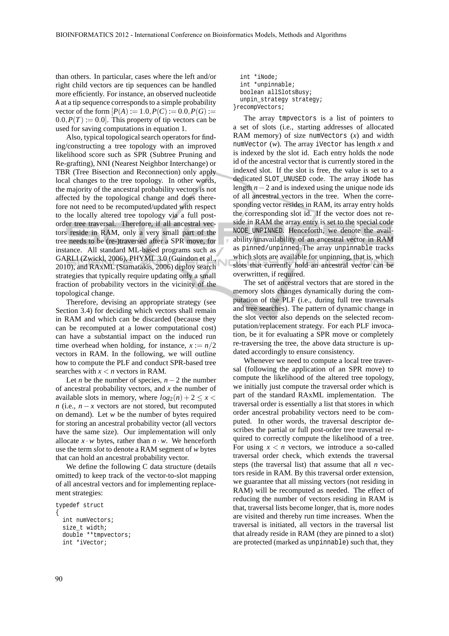than others. In particular, cases where the left and/or right child vectors are tip sequences can be handled more efficiently. For instance, an observed nucleotide A at a tip sequence corresponds to a simple probability vector of the form  $[P(A) := 1.0, P(C) := 0.0, P(G) :=$  $(0.0, P(T) := 0.0]$ . This property of tip vectors can be used for saving computations in equation 1.

Also, typical topological search operators for finding/constructing a tree topology with an improved likelihood score such as SPR (Subtree Pruning and Re-grafting), NNI (Nearest Neighbor Interchange) or TBR (Tree Bisection and Reconnection) only apply local changes to the tree topology. In other words, the majority of the ancestral probability vectors is not affected by the topological change and does therefore not need to be recomputed/updated with respect to the locally altered tree topology via a full postorder tree traversal. Therefore, if all ancestral vectors reside in RAM, only a very small part of the tree needs to be (re-)traversed after a SPR move, for instance. All standard ML-based programs such as GARLI (Zwickl, 2006), PHYML 3.0 (Guindon et al., 2010), and RAxML (Stamatakis, 2006) deploy search strategies that typically require updating only a small fraction of probability vectors in the vicinity of the topological change.

Therefore, devising an appropriate strategy (see Section 3.4) for deciding which vectors shall remain in RAM and which can be discarded (because they can be recomputed at a lower computational cost) can have a substantial impact on the induced run time overhead when holding, for instance,  $x := n/2$ vectors in RAM. In the following, we will outline how to compute the PLF and conduct SPR-based tree searches with  $x < n$  vectors in RAM.

Let *n* be the number of species,  $n-2$  the number of ancestral probability vectors, and *x* the number of available slots in memory, where  $log_2(n) + 2 \leq x$ *n* (i.e.,  $n - x$  vectors are not stored, but recomputed on demand). Let *w* be the number of bytes required for storing an ancestral probability vector (all vectors have the same size). Our implementation will only allocate  $x \cdot w$  bytes, rather than  $n \cdot w$ . We henceforth use the term *slot* to denote a RAM segment of *w* bytes that can hold an ancestral probability vector.

We define the following C data structure (details omitted) to keep track of the vector-to-slot mapping of all ancestral vectors and for implementing replacement strategies:

```
typedef struct
\{int numVectors;
  size_t width;
 double **tmpvectors;
  int *iVector;
```
int \*iNode; int \*unpinnable; boolean allSlotsBusy; unpin\_strategy strategy; }recompVectors;

The array tmpvectors is a list of pointers to a set of slots (i.e., starting addresses of allocated RAM memory) of size numVectors (*x*) and width numVector (*w*). The array iVector has length *x* and is indexed by the slot id. Each entry holds the node id of the ancestral vector that is currently stored in the indexed slot. If the slot is free, the value is set to a dedicated SLOT\_UNUSED code. The array iNode has length *n*−2 and is indexed using the unique node ids of all ancestral vectors in the tree. When the corresponding vector resides in RAM, its array entry holds the corresponding slot id. If the vector does not reside in RAM the array entry is set to the special code NODE\_UNPINNED. Henceforth, we denote the availability/unavailability of an ancestral vector in RAM as pinned/unpinned The array unpinnable tracks which slots are available for unpinning, that is, which slots that currently hold an ancestral vector can be overwritten, if required.

The set of ancestral vectors that are stored in the memory slots changes dynamically during the computation of the PLF (i.e., during full tree traversals and tree searches). The pattern of dynamic change in the slot vector also depends on the selected recomputation/replacement strategy. For each PLF invocation, be it for evaluating a SPR move or completely re-traversing the tree, the above data structure is updated accordingly to ensure consistency.

Whenever we need to compute a local tree traversal (following the application of an SPR move) to compute the likelihood of the altered tree topology, we initially just compute the traversal order which is part of the standard RAxML implementation. The traversal order is essentially a list that stores in which order ancestral probability vectors need to be computed. In other words, the traversal descriptor describes the partial or full post-order tree traversal required to correctly compute the likelihood of a tree. For using  $x < n$  vectors, we introduce a so-called traversal order check, which extends the traversal steps (the traversal list) that assume that all *n* vectors reside in RAM. By this traversal order extension, we guarantee that all missing vectors (not residing in RAM) will be recomputed as needed. The effect of reducing the number of vectors residing in RAM is that, traversal lists become longer, that is, more nodes are visited and thereby run time increases. When the traversal is initiated, all vectors in the traversal list that already reside in RAM (they are pinned to a slot) are protected (marked as unpinnable) such that, they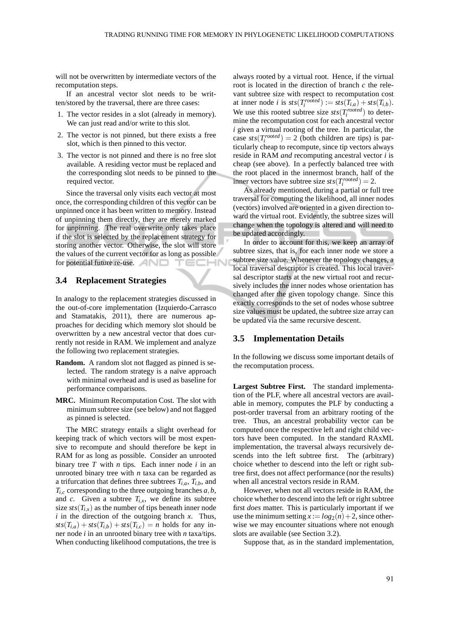will not be overwritten by intermediate vectors of the recomputation steps.

If an ancestral vector slot needs to be written/stored by the traversal, there are three cases:

- 1. The vector resides in a slot (already in memory). We can just read and/or write to this slot.
- 2. The vector is not pinned, but there exists a free slot, which is then pinned to this vector.
- 3. The vector is not pinned and there is no free slot available. A residing vector must be replaced and the corresponding slot needs to be pinned to the required vector.

Since the traversal only visits each vector at most once, the corresponding children of this vector can be unpinned once it has been written to memory. Instead of unpinning them directly, they are merely marked for unpinning. The real overwrite only takes place if the slot is selected by the replacement strategy for storing another vector. Otherwise, the slot will store the values of the current vector for as long as possible for potential future re-use. TECHN

### **3.4 Replacement Strategies**

In analogy to the replacement strategies discussed in the out-of-core implementation (Izquierdo-Carrasco and Stamatakis, 2011), there are numerous approaches for deciding which memory slot should be overwritten by a new ancestral vector that does currently not reside in RAM. We implement and analyze the following two replacement strategies.

- **Random.** A random slot not flagged as pinned is selected. The random strategy is a naïve approach with minimal overhead and is used as baseline for performance comparisons.
- **MRC.** Minimum Recomputation Cost. The slot with minimum subtree size (see below) and not flagged as pinned is selected.

The MRC strategy entails a slight overhead for keeping track of which vectors will be most expensive to recompute and should therefore be kept in RAM for as long as possible. Consider an unrooted binary tree *T* with *n* tips. Each inner node *i* in an unrooted binary tree with *n* taxa can be regarded as a trifurcation that defines three subtrees  $T_{i,a}$ ,  $T_{i,b}$ , and  $T_{i,c}$  corresponding to the three outgoing branches  $a, b$ , and *c*. Given a subtree  $T_{i,x}$ , we define its subtree size  $sts(T_{i,x})$  as the number of tips beneath inner node *i* in the direction of the outgoing branch *x*. Thus,  $s$ *ts*( $T$ *i*,*a*) + *sts*( $T$ <sup>*i*</sup>,*b*) + *sts*( $T$ <sup>*i*</sup>,*c*) = *n* holds for any inner node *i* in an unrooted binary tree with *n* taxa/tips. When conducting likelihood computations, the tree is

always rooted by a virtual root. Hence, if the virtual root is located in the direction of branch *c* the relevant subtree size with respect to recomputation cost at inner node *i* is  $sts(T_i^{rooted}) := sts(T_{i,a}) + sts(T_{i,b})$ . We use this rooted subtree size  $sts(T_i^{rooted})$  to determine the recomputation cost for each ancestral vector *i* given a virtual rooting of the tree. In particular, the case  $sts(T_i^{rooted}) = 2$  (both children are tips) is particularly cheap to recompute, since tip vectors always reside in RAM *and* recomputing ancestral vector *i* is cheap (see above). In a perfectly balanced tree with the root placed in the innermost branch, half of the inner vectors have subtree size  $sts(T_i^{rooted}) = 2$ .

As already mentioned, during a partial or full tree traversal for computing the likelihood, all inner nodes (vectors) involved are oriented in a given direction toward the virtual root. Evidently, the subtree sizes will change when the topology is altered and will need to be updated accordingly.

In order to account for this, we keep an array of subtree sizes, that is, for each inner node we store a subtree size value. Whenever the topology changes, a local traversal descriptor is created. This local traversal descriptor starts at the new virtual root and recursively includes the inner nodes whose orientation has changed after the given topology change. Since this exactly corresponds to the set of nodes whose subtree size values must be updated, the subtree size array can be updated via the same recursive descent.

#### **3.5 Implementation Details**

In the following we discuss some important details of the recomputation process.

**Largest Subtree First.** The standard implementation of the PLF, where all ancestral vectors are available in memory, computes the PLF by conducting a post-order traversal from an arbitrary rooting of the tree. Thus, an ancestral probability vector can be computed once the respective left and right child vectors have been computed. In the standard RAxML implementation, the traversal always recursively descends into the left subtree first. The (arbitrary) choice whether to descend into the left or right subtree first, does not affect performance (nor the results) when all ancestral vectors reside in RAM.

However, when not all vectors reside in RAM, the choice whether to descend into the left or right subtree first *does* matter. This is particularly important if we use the minimum setting  $x := log_2(n) + 2$ , since otherwise we may encounter situations where not enough slots are available (see Section 3.2).

Suppose that, as in the standard implementation,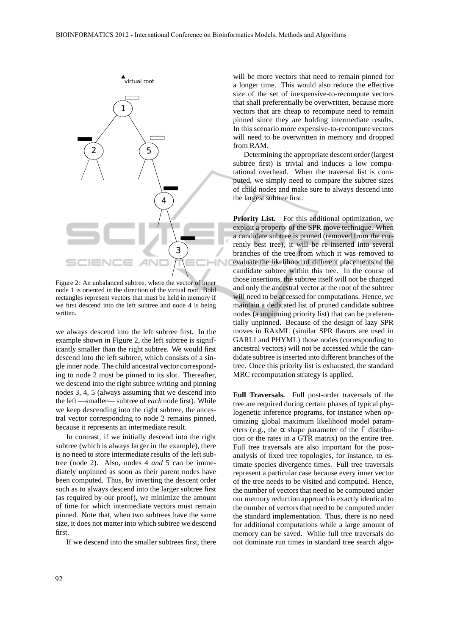

Figure 2: An unbalanced subtree, where the vector of inner node 1 is oriented in the direction of the virtual root. Bold rectangles represent vectors that must be held in memory if we first descend into the left subtree and node 4 is being written.

we always descend into the left subtree first. In the example shown in Figure 2, the left subtree is significantly smaller than the right subtree. We would first descend into the left subtree, which consists of a single inner node. The child ancestral vector corresponding to node 2 must be pinned to its slot. Thereafter, we descend into the right subtree writing and pinning nodes 3, 4, 5 (always assuming that we descend into the left —smaller— subtree of *each* node first). While we keep descending into the right subtree, the ancestral vector corresponding to node 2 remains pinned, because it represents an intermediate result.

In contrast, if we initially descend into the right subtree (which is always larger in the example), there is no need to store intermediate results of the left subtree (node 2). Also, nodes 4 *and* 5 can be immediately unpinned as soon as their parent nodes have been computed. Thus, by inverting the descent order such as to always descend into the larger subtree first (as required by our proof), we minimize the amount of time for which intermediate vectors must remain pinned. Note that, when two subtrees have the same size, it does not matter into which subtree we descend first.

If we descend into the smaller subtrees first, there

will be more vectors that need to remain pinned for a longer time. This would also reduce the effective size of the set of inexpensive-to-recompute vectors that shall preferentially be overwritten, because more vectors that are cheap to recompute need to remain pinned since they are holding intermediate results. In this scenario more expensive-to-recompute vectors will need to be overwritten in memory and dropped from RAM.

Determining the appropriate descent order (largest subtree first) is trivial and induces a low computational overhead. When the traversal list is computed, we simply need to compare the subtree sizes of child nodes and make sure to always descend into the largest subtree first.

Priority List. For this additional optimization, we exploit a property of the SPR move technique. When a candidate subtree is pruned (removed from the currently best tree), it will be re-inserted into several branches of the tree from which it was removed to evaluate the likelihood of different placements of the candidate subtree within this tree. In the course of those insertions, the subtree itself will not be changed and only the ancestral vector at the root of the subtree will need to be accessed for computations. Hence, we maintain a dedicated list of pruned candidate subtree nodes (a unpinning priority list) that can be preferentially unpinned. Because of the design of lazy SPR moves in RAxML (similar SPR flavors are used in GARLI and PHYML) those nodes (corresponding to ancestral vectors) will not be accessed while the candidate subtree is inserted into different branches of the tree. Once this priority list is exhausted, the standard MRC recomputation strategy is applied.

**Full Traversals.** Full post-order traversals of the tree are required during certain phases of typical phylogenetic inference programs, for instance when optimizing global maximum likelihood model parameters (e.g., the  $\alpha$  shape parameter of the  $\Gamma$  distribution or the rates in a GTR matrix) on the entire tree. Full tree traversals are also important for the postanalysis of fixed tree topologies, for instance, to estimate species divergence times. Full tree traversals represent a particular case because every inner vector of the tree needs to be visited and computed. Hence, the number of vectors that need to be computed under our memory reduction approach is exactly identical to the number of vectors that need to be computed under the standard implementation. Thus, there is no need for additional computations while a large amount of memory can be saved. While full tree traversals do not dominate run times in standard tree search algo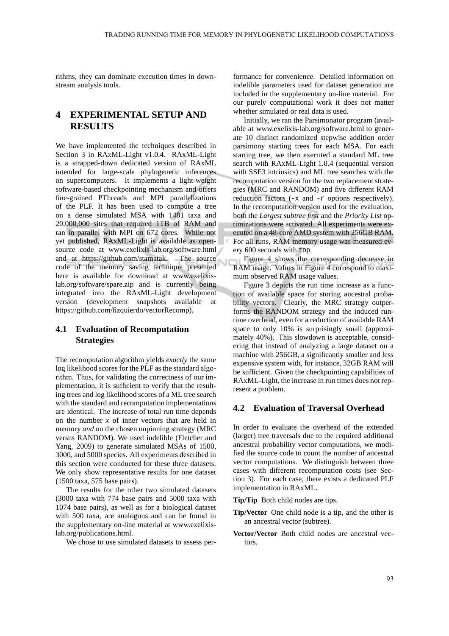rithms, they can dominate execution times in downstream analysis tools.

# **4 EXPERIMENTAL SETUP AND RESULTS**

We have implemented the techniques described in Section 3 in RAxML-Light v1.0.4. RAxML-Light is a strapped-down dedicated version of RAxML intended for large-scale phylogenetic inferences on supercomputers. It implements a light-weight software-based checkpointing mechanism and offers fine-grained PThreads and MPI parallelizations of the PLF. It has been used to compute a tree on a dense simulated MSA with 1481 taxa and 20,000,000 sites that required 1TB of RAM and ran in parallel with MPI on 672 cores. While not yet published, RAxML-Light is available as opensource code at www.exelixis-lab.org/software.html and at https://github.com/stamatak. The source code of the memory saving technique presented here is available for download at www.exelixislab.org/software/spare.zip and is currently being integrated into the RAxML-Light development version (development snapshots available at https://github.com/fizquierdo/vectorRecomp).

## **4.1 Evaluation of Recomputation Strategies**

The recomputation algorithm yields *exactly* the same log likelihood scores for the PLF as the standard algorithm. Thus, for validating the correctness of our implementation, it is sufficient to verify that the resulting trees and log likelihood scores of a ML tree search with the standard and recomputation implementations are identical. The increase of total run time depends on the number *x* of inner vectors that are held in memory *and* on the chosen unpinning strategy (MRC versus RANDOM). We used indelible (Fletcher and Yang, 2009) to generate simulated MSAs of 1500, 3000, and 5000 species. All experiments described in this section were conducted for these three datasets. We only show representative results for one dataset (1500 taxa, 575 base pairs).

The results for the other two simulated datasets (3000 taxa with 774 base pairs and 5000 taxa with 1074 base pairs), as well as for a biological dataset with 500 taxa, are analogous and can be found in the supplementary on-line material at www.exelixislab.org/publications.html.

We chose to use simulated datasets to assess per-

formance for convenience. Detailed information on indelible parameters used for dataset generation are included in the supplementary on-line material. For our purely computational work it does not matter whether simulated or real data is used.

Initially, we ran the Parsimonator program (available at www.exelixis-lab.org/software.html to generate 10 distinct randomized stepwise addition order parsimony starting trees for each MSA. For each starting tree, we then executed a standard ML tree search with RAxML-Light 1.0.4 (sequential version with SSE3 intrinsics) and ML tree searches with the recomputation version for the two replacement strategies (MRC and RANDOM) and five different RAM reduction factors (-x and -r options respectively). In the recomputation version used for the evaluation, both the *Largest subtree first* and the *Priority List* optimizations were activated. All experiments were executed on a 48-core AMD system with 256GB RAM. For all runs, RAM memory usage was measured every 600 seconds with top.

Figure 4 shows the corresponding decrease in RAM usage. Values in Figure 4 correspond to maximum observed RAM usage values.

Figure 3 depicts the run time increase as a function of available space for storing ancestral probability vectors. Clearly, the MRC strategy outperforms the RANDOM strategy and the induced runtime overhead, even for a reduction of available RAM space to only 10% is surprisingly small (approximately 40%). This slowdown is acceptable, considering that instead of analyzing a large dataset on a machine with 256GB, a significantly smaller and less expensive system with, for instance, 32GB RAM will be sufficient. Given the checkpointing capabilities of RAxML-Light, the increase in run times does not represent a problem.

### **4.2 Evaluation of Traversal Overhead**

In order to evaluate the overhead of the extended (larger) tree traversals due to the required additional ancestral probability vector computations, we modified the source code to count the number of ancestral vector computations. We distinguish between three cases with different recomputation costs (see Section 3). For each case, there exists a dedicated PLF implementation in RAxML.

**Tip/Tip** Both child nodes are tips.

- **Tip/Vector** One child node is a tip, and the other is an ancestral vector (subtree).
- **Vector/Vector** Both child nodes are ancestral vectors.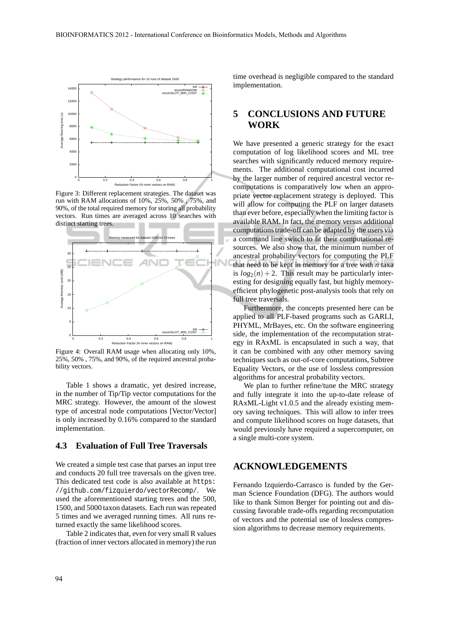

Figure 3: Different replacement strategies. The dataset was run with RAM allocations of 10%, 25%, 50% , 75%, and 90%, of the total required memory for storing all probability vectors. Run times are averaged across 10 searches with distinct starting trees.



Figure 4: Overall RAM usage when allocating only 10%, 25%, 50% , 75%, and 90%, of the required ancestral probability vectors.

Table 1 shows a dramatic, yet desired increase, in the number of Tip/Tip vector computations for the MRC strategy. However, the amount of the slowest type of ancestral node computations [Vector/Vector] is only increased by 0.16% compared to the standard implementation.

### **4.3 Evaluation of Full Tree Traversals**

We created a simple test case that parses an input tree and conducts 20 full tree traversals on the given tree. This dedicated test code is also available at https: //github.com/fizquierdo/vectorRecomp/. We used the aforementioned starting trees and the 500, 1500, and 5000 taxon datasets. Each run was repeated 5 times and we averaged running times. All runs returned exactly the same likelihood scores.

Table 2 indicates that, even for very small R values (fraction of inner vectors allocated in memory) the run time overhead is negligible compared to the standard implementation.

## **5 CONCLUSIONS AND FUTURE WORK**

We have presented a generic strategy for the exact computation of log likelihood scores and ML tree searches with significantly reduced memory requirements. The additional computational cost incurred by the larger number of required ancestral vector recomputations is comparatively low when an appropriate vector replacement strategy is deployed. This will allow for computing the PLF on larger datasets than ever before, especially when the limiting factor is available RAM. In fact, the memory versus additional computations trade-off can be adapted by the users via a command line switch to fit their computational resources. We also show that, the minimum number of ancestral probability vectors for computing the PLF that need to be kept in memory for a tree with *n* taxa is  $log_2(n) + 2$ . This result may be particularly interesting for designing equally fast, but highly memoryefficient phylogenetic post-analysis tools that rely on full tree traversals.

Furthermore, the concepts presented here can be applied to all PLF-based programs such as GARLI, PHYML, MrBayes, etc. On the software engineering side, the implementation of the recomputation strategy in RAxML is encapsulated in such a way, that it can be combined with any other memory saving techniques such as out-of-core computations, Subtree Equality Vectors, or the use of lossless compression algorithms for ancestral probability vectors.

We plan to further refine/tune the MRC strategy and fully integrate it into the up-to-date release of RAxML-Light v1.0.5 and the already existing memory saving techniques. This will allow to infer trees and compute likelihood scores on huge datasets, that would previously have required a supercomputer, on a single multi-core system.

## **ACKNOWLEDGEMENTS**

Fernando Izquierdo-Carrasco is funded by the German Science Foundation (DFG). The authors would like to thank Simon Berger for pointing out and discussing favorable trade-offs regarding recomputation of vectors and the potential use of lossless compression algorithms to decrease memory requirements.